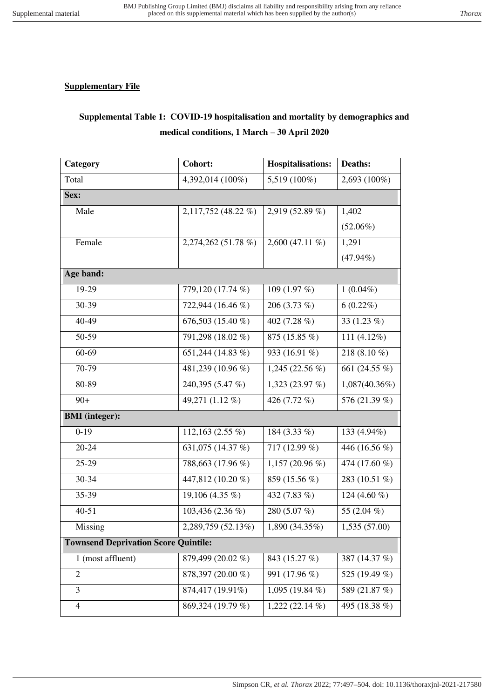## **Supplementary File**

## **Supplemental Table 1: COVID-19 hospitalisation and mortality by demographics and medical conditions, 1 March – 30 April 2020**

| Category                                    | <b>Cohort:</b>      | <b>Hospitalisations:</b> | Deaths:          |
|---------------------------------------------|---------------------|--------------------------|------------------|
| Total                                       | 4,392,014 (100%)    | 5,519 (100%)             | 2,693 (100%)     |
| Sex:                                        |                     |                          |                  |
| Male                                        | 2,117,752 (48.22 %) | 2,919 (52.89 %)          | 1,402            |
|                                             |                     |                          | $(52.06\%)$      |
| Female                                      | 2,274,262 (51.78 %) | $2,600(47.11\%)$         | 1,291            |
|                                             |                     |                          | $(47.94\%)$      |
| Age band:                                   |                     |                          |                  |
| 19-29                                       | 779,120 (17.74 %)   | 109 (1.97 %)             | $1(0.04\%)$      |
| 30-39                                       | 722,944 (16.46 %)   | 206 $(3.73\%)$           | $6(0.22\%)$      |
| 40-49                                       | 676,503 (15.40 %)   | 402 (7.28 %)             | 33 $(1.23\%)$    |
| 50-59                                       | 791,298 (18.02 %)   | 875 (15.85 %)            | 111 $(4.12\%)$   |
| 60-69                                       | 651,244 (14.83 %)   | 933 (16.91 %)            | 218 (8.10 %)     |
| 70-79                                       | 481,239 (10.96 %)   | 1,245 (22.56 %)          | 661 (24.55 %)    |
| 80-89                                       | 240,395 (5.47 %)    | 1,323 (23.97 $%$ )       | $1,087(40.36\%)$ |
| $90+$                                       | 49,271 (1.12 %)     | 426 (7.72 %)             | 576 (21.39 %)    |
| <b>BMI</b> (integer):                       |                     |                          |                  |
| $0-19$                                      | 112,163 $(2.55\%)$  | 184 (3.33 %)             | 133 (4.94%)      |
| $20 - 24$                                   | 631,075 (14.37 %)   | 717 (12.99 %)            | 446 (16.56 %)    |
| 25-29                                       | 788,663 (17.96 %)   | 1,157 (20.96 %)          | 474 (17.60 %)    |
| 30-34                                       | 447,812 (10.20 %)   | 859 (15.56 %)            | 283 (10.51 %)    |
| 35-39                                       | 19,106 (4.35 %)     | 432 (7.83 %)             | 124 (4.60 $%$ )  |
| $40 - 51$                                   | 103,436 (2.36 %)    | 280 (5.07 %)             | 55 (2.04 %)      |
| Missing                                     | 2,289,759 (52.13%)  | 1,890(34.35%)            | 1,535(57.00)     |
| <b>Townsend Deprivation Score Quintile:</b> |                     |                          |                  |
| 1 (most affluent)                           | 879,499 (20.02 %)   | 843 (15.27 %)            | 387 (14.37 %)    |
| $\mathbf{2}$                                | 878,397 (20.00 %)   | 991 (17.96 %)            | 525 (19.49 %)    |
| 3                                           | 874,417 (19.91%)    | 1,095 (19.84 $%$ )       | 589 (21.87 %)    |
| $\overline{\mathcal{A}}$                    | 869,324 (19.79 %)   | $1,222(22.14\%)$         | 495 (18.38 %)    |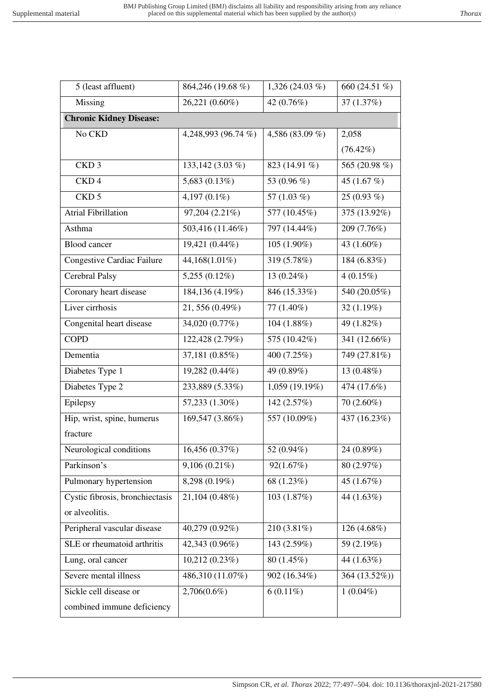| 5 (least affluent)              | 864,246 (19.68 %)   | 1,326 (24.03 %)        | 660 (24.51 %)              |
|---------------------------------|---------------------|------------------------|----------------------------|
| Missing                         | 26,221 (0.60%)      | 42 (0.76%)             | 37 (1.37%)                 |
| <b>Chronic Kidney Disease:</b>  |                     |                        |                            |
| No CKD                          | 4,248,993 (96.74 %) | 4,586 (83.09 %)        | 2,058                      |
|                                 |                     |                        | $(76.42\%)$                |
| CKD <sub>3</sub>                | 133,142 (3.03 %)    | 823 (14.91 %)          | 565 (20.98 %)              |
| CKD <sub>4</sub>                | 5,683 (0.13%)       | 53 (0.96 %)            | 45 $(1.67%)$               |
| CKD <sub>5</sub>                | 4,197 $(0.1\%)$     | 57 $(1.03\%)$          | $25(0.93\%)$               |
| Atrial Fibrillation             | 97,204(2.21%)       | 577 (10.45%)           | 375 (13.92%)               |
| Asthma                          | 503,416 (11.46%)    | 797 (14.44%)           | 209 (7.76%)                |
| <b>Blood</b> cancer             | 19,421 (0.44%)      | 105 (1.90%)            | 43 (1.60%)                 |
| Congestive Cardiac Failure      | 44,168(1.01%)       | 319 (5.78%)            | 184 (6.83%)                |
| Cerebral Palsy                  | $5,255(0.12\%)$     | 13 $(0.24\%)$          | $4(0.15\%)$                |
| Coronary heart disease          | 184,136 (4.19%)     | 846 (15.33%)           | 540 (20.05%)               |
| Liver cirrhosis                 | 21, 556 (0.49%)     | 77 (1.40%)             | 32 $(1.19%)$               |
| Congenital heart disease        | 34,020 (0.77%)      | 104 (1.88%)            | 49 (1.82%)                 |
| <b>COPD</b>                     | 122,428 (2.79%)     | 575 (10.42%)           | 341 (12.66%)               |
| Dementia                        | 37,181 (0.85%)      | 400 (7.25%)            | 749 (27.81%)               |
| Diabetes Type 1                 | 19,282 (0.44%)      | 49 (0.89%)             | 13 (0.48%)                 |
| Diabetes Type 2                 | 233,889 (5.33%)     | 1,059 (19.19%)         | 474 (17.6%)                |
| Epilepsy                        | 57,233 (1.30%)      | 142 (2.57%)            | $70(2.60\%)$               |
| Hip, wrist, spine, humerus      | 169,547 (3.86%)     | 557 (10.09%)           | $\overline{437} (16.23\%)$ |
| fracture                        |                     |                        |                            |
| Neurological conditions         | 16,456 (0.37%)      | 52 (0.94%)             | 24 (0.89%)                 |
| Parkinson's                     | $9,106(0.21\%)$     | 92(1.67%)              | 80(2.97%)                  |
| Pulmonary hypertension          | 8,298 (0.19%)       | 68 (1.23%)             | 45 $(1.67%)$               |
| Cystic fibrosis, bronchiectasis | 21,104 (0.48%)      | 103 (1.87%)            | 44 (1.63%)                 |
| or alveolitis.                  |                     |                        |                            |
| Peripheral vascular disease     | 40,279 (0.92%)      | 210 (3.81%)            | 126 (4.68%)                |
| SLE or rheumatoid arthritis     | 42,343 (0.96%)      | 143 (2.59%)            | 59 (2.19%)                 |
| Lung, oral cancer               | 10,212 (0.23%)      | 80 (1.45%)             | 44 (1.63%)                 |
| Severe mental illness           | 486,310 (11.07%)    | 902 (16.34%)           | 364 (13.52%))              |
| Sickle cell disease or          | 2,706(0.6%)         | $\overline{6}$ (0.11%) | $1(0.04\%)$                |
| combined immune deficiency      |                     |                        |                            |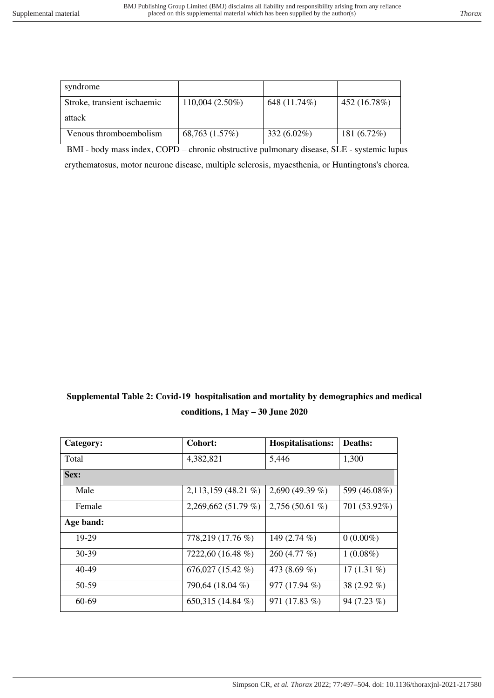| syndrome                    |                   |                |              |
|-----------------------------|-------------------|----------------|--------------|
| Stroke, transient ischaemic | $110,004(2.50\%)$ | 648 (11.74%)   | 452 (16.78%) |
| attack                      |                   |                |              |
| Venous thromboembolism      | 68,763 (1.57%)    | 332 $(6.02\%)$ | 181 (6.72%)  |

BMI - body mass index, COPD – chronic obstructive pulmonary disease, SLE - systemic lupus

erythematosus, motor neurone disease, multiple sclerosis, myaesthenia, or Huntingtons's chorea.

**Supplemental Table 2: Covid-19 hospitalisation and mortality by demographics and medical conditions, 1 May – 30 June 2020**

| Category: | Cohort:                | <b>Hospitalisations:</b> | Deaths:       |
|-----------|------------------------|--------------------------|---------------|
| Total     | 4,382,821              | 5,446                    | 1,300         |
| Sex:      |                        |                          |               |
| Male      | $2,113,159$ (48.21 %)  | 2,690 (49.39 %)          | 599 (46.08%)  |
| Female    | $2,269,662(51.79\%)$   | $2,756(50.61\%)$         | 701 (53.92%)  |
| Age band: |                        |                          |               |
| 19-29     | 778,219 (17.76 %)      | 149 (2.74 %)             | $0(0.00\%)$   |
| $30-39$   | 7222,60 (16.48 %)      | 260 (4.77 %)             | $1(0.08\%)$   |
| $40 - 49$ | $676,027$ $(15.42\% )$ | 473 (8.69 %)             | 17 $(1.31\%)$ |
| 50-59     | 790,64 (18.04 %)       | 977 (17.94 %)            | 38 (2.92 %)   |
| 60-69     | 650,315 $(14.84\%)$    | 971 (17.83 %)            | 94 (7.23 %)   |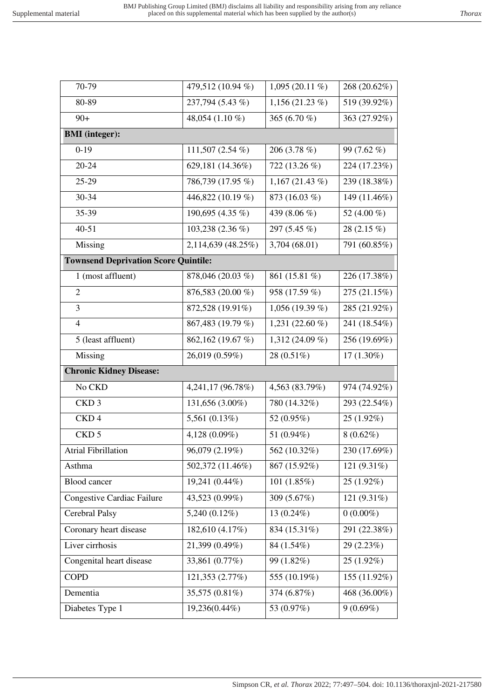| 70-79                                       | 479,512 (10.94 %)  | 1,095 (20.11 $%$ )           | 268 (20.62%)  |
|---------------------------------------------|--------------------|------------------------------|---------------|
| 80-89                                       | 237,794 (5.43 %)   | 1,156 $(21.23\%)$            | 519 (39.92%)  |
| $90+$                                       | 48,054 (1.10 %)    | 365 (6.70 %)                 | 363 (27.92%)  |
| <b>BMI</b> (integer):                       |                    |                              |               |
| $\overline{0} - 19$                         | 111,507 (2.54 %)   | 206 (3.78 %)                 | 99 (7.62 %)   |
| $20 - 24$                                   | 629,181 (14.36%)   | 722 (13.26 %)                | 224 (17.23%)  |
| 25-29                                       | 786,739 (17.95 %)  | 1,167 $(21.43\%)$            | 239 (18.38%)  |
| 30-34                                       | 446,822 (10.19 %)  | 873 (16.03 %)                | 149 (11.46%)  |
| 35-39                                       | 190,695 (4.35 %)   | 439 (8.06 %)                 | 52 (4.00 %)   |
| $40 - 51$                                   | 103,238 (2.36 %)   | 297 (5.45 %)                 | 28 $(2.15\%)$ |
| Missing                                     | 2,114,639 (48.25%) | 3,704 (68.01)                | 791 (60.85%)  |
| <b>Townsend Deprivation Score Quintile:</b> |                    |                              |               |
| 1 (most affluent)                           | 878,046 (20.03 %)  | 861 (15.81 %)                | 226 (17.38%)  |
| $\overline{2}$                              | 876,583 (20.00 %)  | 958 (17.59 %)                | 275 (21.15%)  |
| 3                                           | 872,528 (19.91%)   | 1,056 (19.39 %)              | 285 (21.92%)  |
| $\overline{4}$                              | 867,483 (19.79 %)  | 1,231 $(22.60\%$             | 241 (18.54%)  |
| 5 (least affluent)                          | 862,162 (19.67 %)  | $\overline{1,312}$ (24.09 %) | 256 (19.69%)  |
| Missing                                     | 26,019 (0.59%)     | 28 (0.51%)                   | $17(1.30\%)$  |
| <b>Chronic Kidney Disease:</b>              |                    |                              |               |
| No CKD                                      | 4,241,17 (96.78%)  | 4,563 (83.79%)               | 974 (74.92%)  |
| CKD <sub>3</sub>                            | 131,656 (3.00%)    | 780 (14.32%)                 | 293 (22.54%)  |
| CKD <sub>4</sub>                            | 5,561 (0.13%)      | 52 (0.95%)                   | 25 (1.92%)    |
| CKD <sub>5</sub>                            | 4,128 (0.09%)      | 51 (0.94%)                   | $8(0.62\%)$   |
| <b>Atrial Fibrillation</b>                  | 96,079 (2.19%)     | 562 (10.32%)                 | 230 (17.69%)  |
| Asthma                                      | 502,372 (11.46%)   | 867 (15.92%)                 | 121 (9.31%)   |
| <b>Blood</b> cancer                         | 19,241 (0.44%)     | 101 $(1.85%)$                | $25(1.92\%)$  |
| Congestive Cardiac Failure                  | 43,523 (0.99%)     | 309 (5.67%)                  | 121 (9.31%)   |
| Cerebral Palsy                              | 5,240 (0.12%)      | 13 (0.24%)                   | $0(0.00\%)$   |
| Coronary heart disease                      | 182,610 (4.17%)    | 834 (15.31%)                 | 291 (22.38%)  |
| Liver cirrhosis                             | 21,399 (0.49%)     | 84 (1.54%)                   | 29 (2.23%)    |
| Congenital heart disease                    | 33,861 (0.77%)     | 99 (1.82%)                   | $25(1.92\%)$  |
| <b>COPD</b>                                 |                    | 555 (10.19%)                 | 155 (11.92%)  |
|                                             | 121,353 (2.77%)    |                              |               |
| Dementia                                    | 35,575 (0.81%)     | 374 (6.87%)                  | 468 (36.00%)  |

Simpson CR*, et al. Thorax* 2022; 77:497–504. doi: 10.1136/thoraxjnl-2021-217580